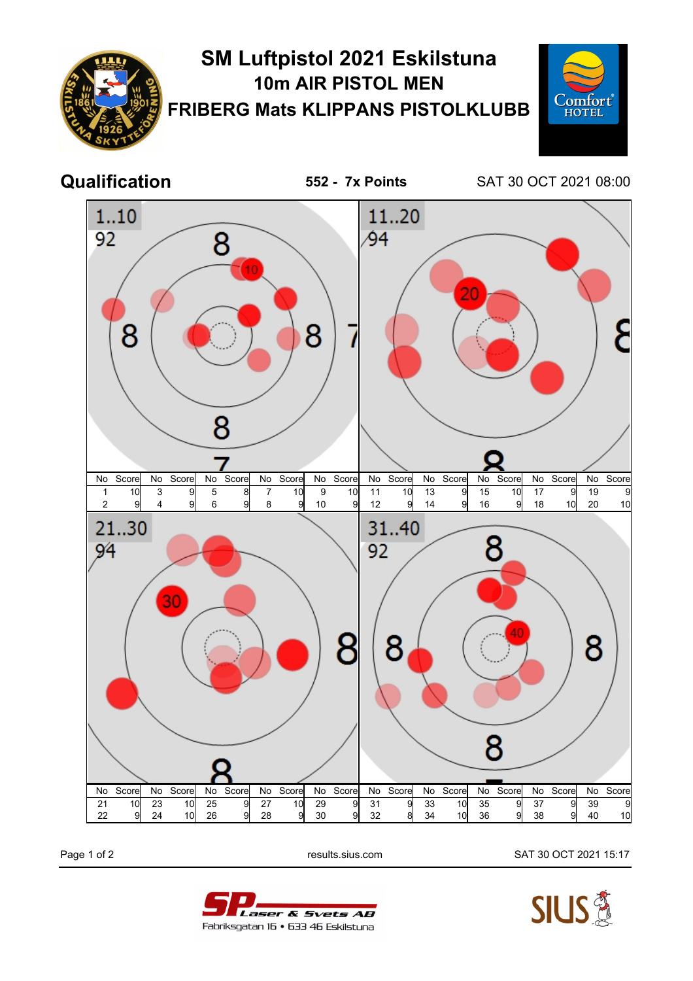



Page 1 of 2 results.sius.com SAT 30 OCT 2021 15:17